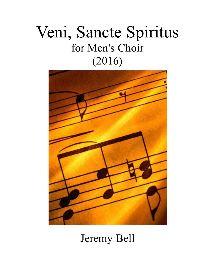# Veni, Sancte Spiritus for Men's Choir (2016)



## Jeremy Bell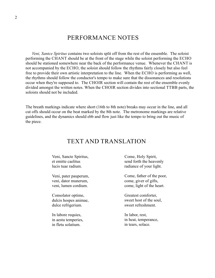#### PERFORMANCE NOTES

*Veni, Santce Spiritus* contains two soloists split off from the rest of the ensemble. The soloist performing the CHANT should be at the front of the stage while the soloist performing the ECHO should be stationed somewhere near the back of the performance venue. Whenever the CHANT is not accompanied by the ECHO, the soloist should follow therhythms fairly closely but also feel free to provide their own artistic interpretation to the line. When the ECHO is performing as well, the rhythms should follow the conductor's tempo to make sure that the dissonances and resolutions occur when they're supposed to. The CHOIR section will contain the rest of the ensemble evenly divided amongst the written notes. When the CHOIR section divides into sectional TTBB parts, the soloists should not be included.

The breath markings indicate where short (16th to 8th note) breaks may occur in the line, and all cut offs should occur on the beat marked by the 8th note. The metronome markings are relative guidelines, and the dynamics should ebb and flow just like the tempo to bring out the music of the piece.

#### TEXT AND TRANSLATION

Veni, Sancte Spiritus, et emitte caelitus lucis tuae radium.

Veni, pater pauperum, veni, dator munerum, veni, lumen cordium.

Consolator optime, dulcis hospes animae, dulce refrigerium.

In labore requies, in aestu temperies, in fletu solatium.

Come, Holy Spirit, send forth the heavenly radiance of your light.

Come, father of the poor, come, giver of gifts, come, light of the heart.

Greatest comforter, sweet host of the soul, sweet refreshment.

In labor, rest, in heat, temperance, in tears, solace.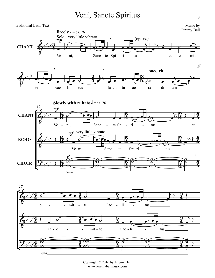### Veni, Sancte Spiritus



Copyright © 2016 by Jeremy Bell www.jeremybellmusic.com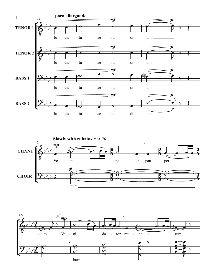



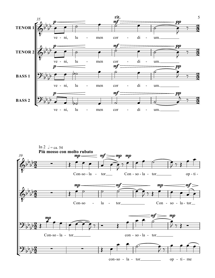

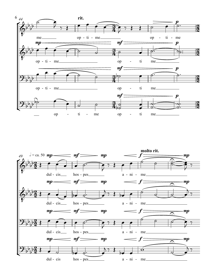

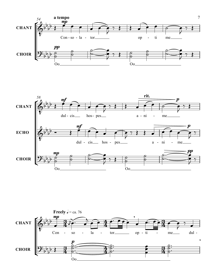



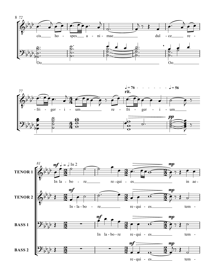



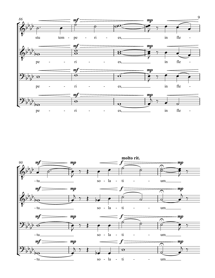